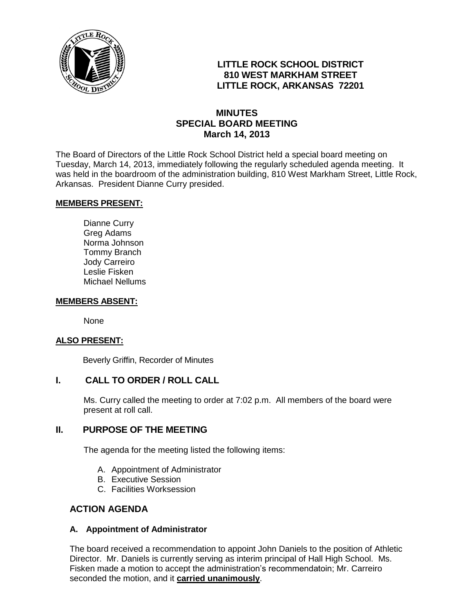

# **LITTLE ROCK SCHOOL DISTRICT 810 WEST MARKHAM STREET LITTLE ROCK, ARKANSAS 72201**

## **MINUTES SPECIAL BOARD MEETING March 14, 2013**

The Board of Directors of the Little Rock School District held a special board meeting on Tuesday, March 14, 2013, immediately following the regularly scheduled agenda meeting. It was held in the boardroom of the administration building, 810 West Markham Street, Little Rock, Arkansas. President Dianne Curry presided.

#### **MEMBERS PRESENT:**

Dianne Curry Greg Adams Norma Johnson Tommy Branch Jody Carreiro Leslie Fisken Michael Nellums

#### **MEMBERS ABSENT:**

None

## **ALSO PRESENT:**

Beverly Griffin, Recorder of Minutes

## **I. CALL TO ORDER / ROLL CALL**

Ms. Curry called the meeting to order at 7:02 p.m. All members of the board were present at roll call.

## **II. PURPOSE OF THE MEETING**

The agenda for the meeting listed the following items:

- A. Appointment of Administrator
- B. Executive Session
- C. Facilities Worksession

## **ACTION AGENDA**

## **A. Appointment of Administrator**

The board received a recommendation to appoint John Daniels to the position of Athletic Director. Mr. Daniels is currently serving as interim principal of Hall High School. Ms. Fisken made a motion to accept the administration's recommendatoin; Mr. Carreiro seconded the motion, and it **carried unanimously**.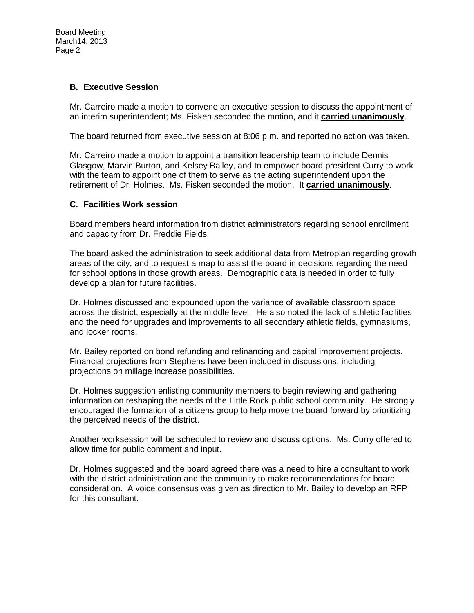## **B. Executive Session**

Mr. Carreiro made a motion to convene an executive session to discuss the appointment of an interim superintendent; Ms. Fisken seconded the motion, and it **carried unanimously**.

The board returned from executive session at 8:06 p.m. and reported no action was taken.

Mr. Carreiro made a motion to appoint a transition leadership team to include Dennis Glasgow, Marvin Burton, and Kelsey Bailey, and to empower board president Curry to work with the team to appoint one of them to serve as the acting superintendent upon the retirement of Dr. Holmes. Ms. Fisken seconded the motion. It **carried unanimously**.

## **C. Facilities Work session**

Board members heard information from district administrators regarding school enrollment and capacity from Dr. Freddie Fields.

The board asked the administration to seek additional data from Metroplan regarding growth areas of the city, and to request a map to assist the board in decisions regarding the need for school options in those growth areas. Demographic data is needed in order to fully develop a plan for future facilities.

Dr. Holmes discussed and expounded upon the variance of available classroom space across the district, especially at the middle level. He also noted the lack of athletic facilities and the need for upgrades and improvements to all secondary athletic fields, gymnasiums, and locker rooms.

Mr. Bailey reported on bond refunding and refinancing and capital improvement projects. Financial projections from Stephens have been included in discussions, including projections on millage increase possibilities.

Dr. Holmes suggestion enlisting community members to begin reviewing and gathering information on reshaping the needs of the Little Rock public school community. He strongly encouraged the formation of a citizens group to help move the board forward by prioritizing the perceived needs of the district.

Another worksession will be scheduled to review and discuss options. Ms. Curry offered to allow time for public comment and input.

Dr. Holmes suggested and the board agreed there was a need to hire a consultant to work with the district administration and the community to make recommendations for board consideration. A voice consensus was given as direction to Mr. Bailey to develop an RFP for this consultant.